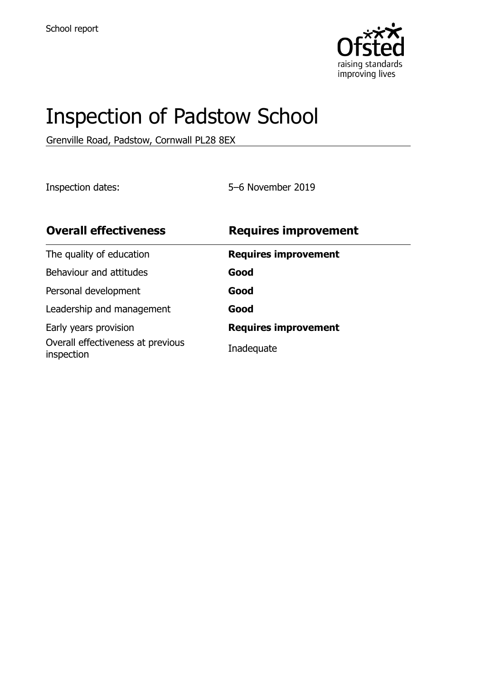

# Inspection of Padstow School

Grenville Road, Padstow, Cornwall PL28 8EX

Inspection dates: 5–6 November 2019

| <b>Overall effectiveness</b>                    | <b>Requires improvement</b> |
|-------------------------------------------------|-----------------------------|
| The quality of education                        | <b>Requires improvement</b> |
| Behaviour and attitudes                         | Good                        |
| Personal development                            | Good                        |
| Leadership and management                       | Good                        |
| Early years provision                           | <b>Requires improvement</b> |
| Overall effectiveness at previous<br>inspection | Inadequate                  |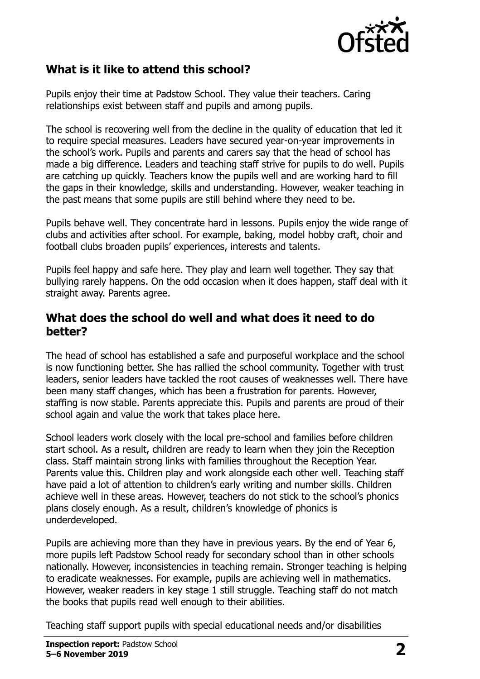

### **What is it like to attend this school?**

Pupils enjoy their time at Padstow School. They value their teachers. Caring relationships exist between staff and pupils and among pupils.

The school is recovering well from the decline in the quality of education that led it to require special measures. Leaders have secured year-on-year improvements in the school's work. Pupils and parents and carers say that the head of school has made a big difference. Leaders and teaching staff strive for pupils to do well. Pupils are catching up quickly. Teachers know the pupils well and are working hard to fill the gaps in their knowledge, skills and understanding. However, weaker teaching in the past means that some pupils are still behind where they need to be.

Pupils behave well. They concentrate hard in lessons. Pupils enjoy the wide range of clubs and activities after school. For example, baking, model hobby craft, choir and football clubs broaden pupils' experiences, interests and talents.

Pupils feel happy and safe here. They play and learn well together. They say that bullying rarely happens. On the odd occasion when it does happen, staff deal with it straight away. Parents agree.

#### **What does the school do well and what does it need to do better?**

The head of school has established a safe and purposeful workplace and the school is now functioning better. She has rallied the school community. Together with trust leaders, senior leaders have tackled the root causes of weaknesses well. There have been many staff changes, which has been a frustration for parents. However, staffing is now stable. Parents appreciate this. Pupils and parents are proud of their school again and value the work that takes place here.

School leaders work closely with the local pre-school and families before children start school. As a result, children are ready to learn when they join the Reception class. Staff maintain strong links with families throughout the Reception Year. Parents value this. Children play and work alongside each other well. Teaching staff have paid a lot of attention to children's early writing and number skills. Children achieve well in these areas. However, teachers do not stick to the school's phonics plans closely enough. As a result, children's knowledge of phonics is underdeveloped.

Pupils are achieving more than they have in previous years. By the end of Year 6, more pupils left Padstow School ready for secondary school than in other schools nationally. However, inconsistencies in teaching remain. Stronger teaching is helping to eradicate weaknesses. For example, pupils are achieving well in mathematics. However, weaker readers in key stage 1 still struggle. Teaching staff do not match the books that pupils read well enough to their abilities.

Teaching staff support pupils with special educational needs and/or disabilities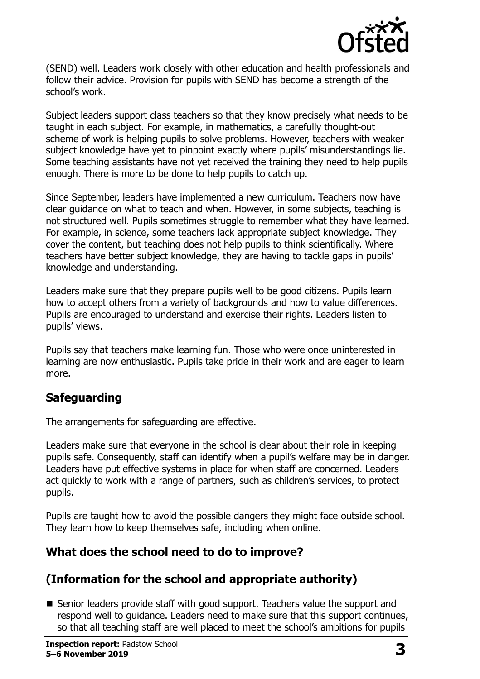

(SEND) well. Leaders work closely with other education and health professionals and follow their advice. Provision for pupils with SEND has become a strength of the school's work.

Subject leaders support class teachers so that they know precisely what needs to be taught in each subject. For example, in mathematics, a carefully thought-out scheme of work is helping pupils to solve problems. However, teachers with weaker subject knowledge have yet to pinpoint exactly where pupils' misunderstandings lie. Some teaching assistants have not yet received the training they need to help pupils enough. There is more to be done to help pupils to catch up.

Since September, leaders have implemented a new curriculum. Teachers now have clear guidance on what to teach and when. However, in some subjects, teaching is not structured well. Pupils sometimes struggle to remember what they have learned. For example, in science, some teachers lack appropriate subject knowledge. They cover the content, but teaching does not help pupils to think scientifically. Where teachers have better subject knowledge, they are having to tackle gaps in pupils' knowledge and understanding.

Leaders make sure that they prepare pupils well to be good citizens. Pupils learn how to accept others from a variety of backgrounds and how to value differences. Pupils are encouraged to understand and exercise their rights. Leaders listen to pupils' views.

Pupils say that teachers make learning fun. Those who were once uninterested in learning are now enthusiastic. Pupils take pride in their work and are eager to learn more.

#### **Safeguarding**

The arrangements for safeguarding are effective.

Leaders make sure that everyone in the school is clear about their role in keeping pupils safe. Consequently, staff can identify when a pupil's welfare may be in danger. Leaders have put effective systems in place for when staff are concerned. Leaders act quickly to work with a range of partners, such as children's services, to protect pupils.

Pupils are taught how to avoid the possible dangers they might face outside school. They learn how to keep themselves safe, including when online.

## **What does the school need to do to improve?**

## **(Information for the school and appropriate authority)**

■ Senior leaders provide staff with good support. Teachers value the support and respond well to guidance. Leaders need to make sure that this support continues, so that all teaching staff are well placed to meet the school's ambitions for pupils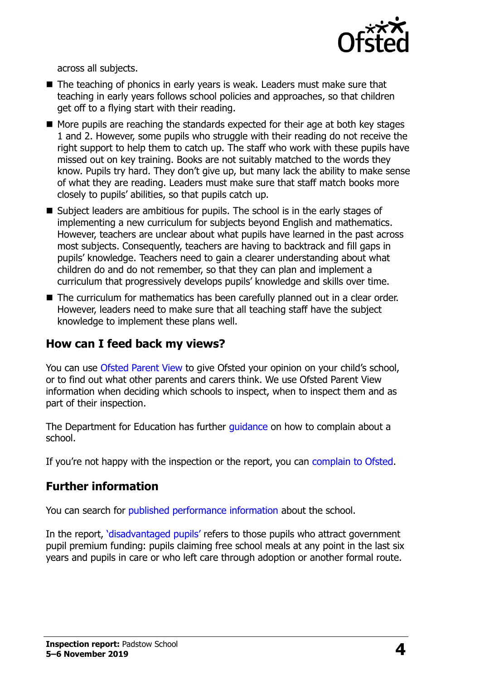

across all subjects.

- The teaching of phonics in early years is weak. Leaders must make sure that teaching in early years follows school policies and approaches, so that children get off to a flying start with their reading.
- $\blacksquare$  More pupils are reaching the standards expected for their age at both key stages 1 and 2. However, some pupils who struggle with their reading do not receive the right support to help them to catch up. The staff who work with these pupils have missed out on key training. Books are not suitably matched to the words they know. Pupils try hard. They don't give up, but many lack the ability to make sense of what they are reading. Leaders must make sure that staff match books more closely to pupils' abilities, so that pupils catch up.
- Subject leaders are ambitious for pupils. The school is in the early stages of implementing a new curriculum for subjects beyond English and mathematics. However, teachers are unclear about what pupils have learned in the past across most subjects. Consequently, teachers are having to backtrack and fill gaps in pupils' knowledge. Teachers need to gain a clearer understanding about what children do and do not remember, so that they can plan and implement a curriculum that progressively develops pupils' knowledge and skills over time.
- The curriculum for mathematics has been carefully planned out in a clear order. However, leaders need to make sure that all teaching staff have the subject knowledge to implement these plans well.

#### **How can I feed back my views?**

You can use [Ofsted Parent View](http://parentview.ofsted.gov.uk/) to give Ofsted your opinion on your child's school, or to find out what other parents and carers think. We use Ofsted Parent View information when deciding which schools to inspect, when to inspect them and as part of their inspection.

The Department for Education has further quidance on how to complain about a school.

If you're not happy with the inspection or the report, you can [complain to Ofsted.](http://www.gov.uk/complain-ofsted-report)

## **Further information**

You can search for [published performance information](http://www.compare-school-performance.service.gov.uk/) about the school.

In the report, '[disadvantaged pupils](http://www.gov.uk/guidance/pupil-premium-information-for-schools-and-alternative-provision-settings)' refers to those pupils who attract government pupil premium funding: pupils claiming free school meals at any point in the last six years and pupils in care or who left care through adoption or another formal route.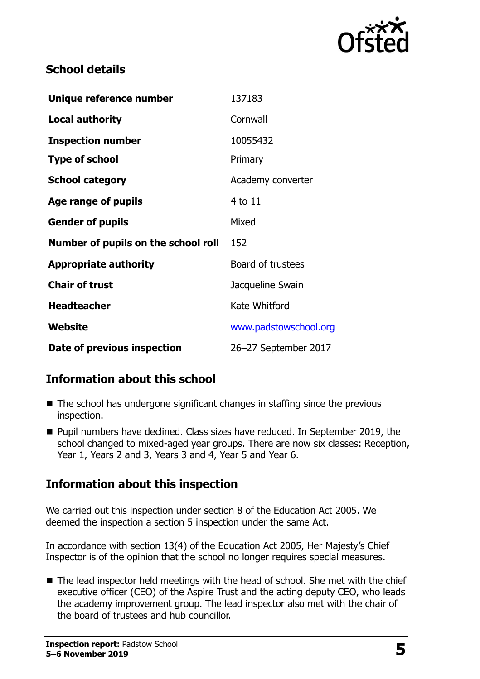

### **School details**

| Unique reference number             | 137183                |
|-------------------------------------|-----------------------|
| <b>Local authority</b>              | Cornwall              |
| <b>Inspection number</b>            | 10055432              |
| <b>Type of school</b>               | Primary               |
| <b>School category</b>              | Academy converter     |
| Age range of pupils                 | 4 to 11               |
| <b>Gender of pupils</b>             | Mixed                 |
| Number of pupils on the school roll | 152                   |
| <b>Appropriate authority</b>        | Board of trustees     |
| <b>Chair of trust</b>               | Jacqueline Swain      |
| <b>Headteacher</b>                  | Kate Whitford         |
| Website                             | www.padstowschool.org |
| Date of previous inspection         | 26-27 September 2017  |

## **Information about this school**

- The school has undergone significant changes in staffing since the previous inspection.
- **Pupil numbers have declined. Class sizes have reduced. In September 2019, the** school changed to mixed-aged year groups. There are now six classes: Reception, Year 1, Years 2 and 3, Years 3 and 4, Year 5 and Year 6.

## **Information about this inspection**

We carried out this inspection under section 8 of the Education Act 2005. We deemed the inspection a section 5 inspection under the same Act.

In accordance with section 13(4) of the Education Act 2005, Her Majesty's Chief Inspector is of the opinion that the school no longer requires special measures.

 $\blacksquare$  The lead inspector held meetings with the head of school. She met with the chief executive officer (CEO) of the Aspire Trust and the acting deputy CEO, who leads the academy improvement group. The lead inspector also met with the chair of the board of trustees and hub councillor.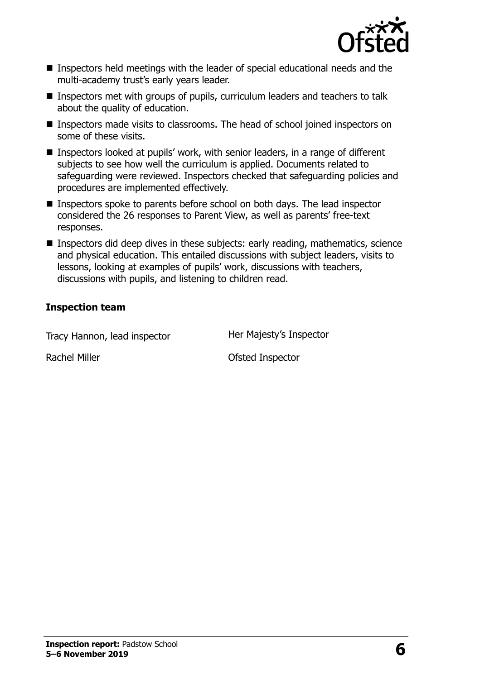

- **Inspectors held meetings with the leader of special educational needs and the** multi-academy trust's early years leader.
- Inspectors met with groups of pupils, curriculum leaders and teachers to talk about the quality of education.
- Inspectors made visits to classrooms. The head of school joined inspectors on some of these visits.
- Inspectors looked at pupils' work, with senior leaders, in a range of different subjects to see how well the curriculum is applied. Documents related to safeguarding were reviewed. Inspectors checked that safeguarding policies and procedures are implemented effectively.
- **Inspectors spoke to parents before school on both days. The lead inspector** considered the 26 responses to Parent View, as well as parents' free-text responses.
- Inspectors did deep dives in these subjects: early reading, mathematics, science and physical education. This entailed discussions with subject leaders, visits to lessons, looking at examples of pupils' work, discussions with teachers, discussions with pupils, and listening to children read.

#### **Inspection team**

Tracy Hannon, lead inspector **Her Majesty's Inspector** 

Rachel Miller **National Strute Inspector Ofsted Inspector**